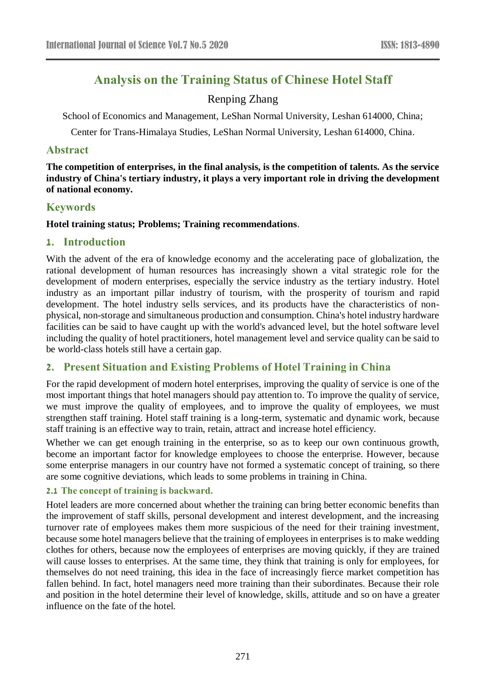# **Analysis on the Training Status of Chinese Hotel Staff**

# Renping Zhang

School of Economics and Management, LeShan Normal University, Leshan 614000, China;

Center for Trans-Himalaya Studies, LeShan Normal University, Leshan 614000, China.

# **Abstract**

**The competition of enterprises, in the final analysis, is the competition of talents. As the service industry of China's tertiary industry, it plays a very important role in driving the development of national economy.**

# **Keywords**

## **Hotel training status; Problems; Training recommendations**.

# **1. Introduction**

With the advent of the era of knowledge economy and the accelerating pace of globalization, the rational development of human resources has increasingly shown a vital strategic role for the development of modern enterprises, especially the service industry as the tertiary industry. Hotel industry as an important pillar industry of tourism, with the prosperity of tourism and rapid development. The hotel industry sells services, and its products have the characteristics of nonphysical, non-storage and simultaneous production and consumption. China's hotel industry hardware facilities can be said to have caught up with the world's advanced level, but the hotel software level including the quality of hotel practitioners, hotel management level and service quality can be said to be world-class hotels still have a certain gap.

# **2. Present Situation and Existing Problems of Hotel Training in China**

For the rapid development of modern hotel enterprises, improving the quality of service is one of the most important things that hotel managers should pay attention to. To improve the quality of service, we must improve the quality of employees, and to improve the quality of employees, we must strengthen staff training. Hotel staff training is a long-term, systematic and dynamic work, because staff training is an effective way to train, retain, attract and increase hotel efficiency.

Whether we can get enough training in the enterprise, so as to keep our own continuous growth, become an important factor for knowledge employees to choose the enterprise. However, because some enterprise managers in our country have not formed a systematic concept of training, so there are some cognitive deviations, which leads to some problems in training in China.

#### **2.1 The concept of training is backward.**

Hotel leaders are more concerned about whether the training can bring better economic benefits than the improvement of staff skills, personal development and interest development, and the increasing turnover rate of employees makes them more suspicious of the need for their training investment, because some hotel managers believe that the training of employees in enterprises is to make wedding clothes for others, because now the employees of enterprises are moving quickly, if they are trained will cause losses to enterprises. At the same time, they think that training is only for employees, for themselves do not need training, this idea in the face of increasingly fierce market competition has fallen behind. In fact, hotel managers need more training than their subordinates. Because their role and position in the hotel determine their level of knowledge, skills, attitude and so on have a greater influence on the fate of the hotel.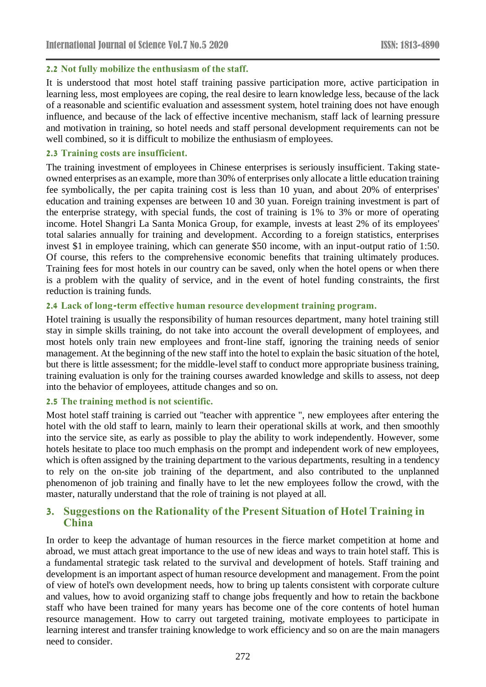#### **2.2 Not fully mobilize the enthusiasm of the staff.**

It is understood that most hotel staff training passive participation more, active participation in learning less, most employees are coping, the real desire to learn knowledge less, because of the lack of a reasonable and scientific evaluation and assessment system, hotel training does not have enough influence, and because of the lack of effective incentive mechanism, staff lack of learning pressure and motivation in training, so hotel needs and staff personal development requirements can not be well combined, so it is difficult to mobilize the enthusiasm of employees.

#### **2.3 Training costs are insufficient.**

The training investment of employees in Chinese enterprises is seriously insufficient. Taking stateowned enterprises as an example, more than 30% of enterprises only allocate a little education training fee symbolically, the per capita training cost is less than 10 yuan, and about 20% of enterprises' education and training expenses are between 10 and 30 yuan. Foreign training investment is part of the enterprise strategy, with special funds, the cost of training is 1% to 3% or more of operating income. Hotel Shangri La Santa Monica Group, for example, invests at least 2% of its employees' total salaries annually for training and development. According to a foreign statistics, enterprises invest \$1 in employee training, which can generate \$50 income, with an input-output ratio of 1:50. Of course, this refers to the comprehensive economic benefits that training ultimately produces. Training fees for most hotels in our country can be saved, only when the hotel opens or when there is a problem with the quality of service, and in the event of hotel funding constraints, the first reduction is training funds.

## **2.4 Lack of long-term effective human resource development training program.**

Hotel training is usually the responsibility of human resources department, many hotel training still stay in simple skills training, do not take into account the overall development of employees, and most hotels only train new employees and front-line staff, ignoring the training needs of senior management. At the beginning of the new staff into the hotel to explain the basic situation of the hotel, but there is little assessment; for the middle-level staff to conduct more appropriate business training, training evaluation is only for the training courses awarded knowledge and skills to assess, not deep into the behavior of employees, attitude changes and so on.

#### **2.5 The training method is not scientific.**

Most hotel staff training is carried out "teacher with apprentice ", new employees after entering the hotel with the old staff to learn, mainly to learn their operational skills at work, and then smoothly into the service site, as early as possible to play the ability to work independently. However, some hotels hesitate to place too much emphasis on the prompt and independent work of new employees, which is often assigned by the training department to the various departments, resulting in a tendency to rely on the on-site job training of the department, and also contributed to the unplanned phenomenon of job training and finally have to let the new employees follow the crowd, with the master, naturally understand that the role of training is not played at all.

# **3. Suggestions on the Rationality of the Present Situation of Hotel Training in China**

In order to keep the advantage of human resources in the fierce market competition at home and abroad, we must attach great importance to the use of new ideas and ways to train hotel staff. This is a fundamental strategic task related to the survival and development of hotels. Staff training and development is an important aspect of human resource development and management. From the point of view of hotel's own development needs, how to bring up talents consistent with corporate culture and values, how to avoid organizing staff to change jobs frequently and how to retain the backbone staff who have been trained for many years has become one of the core contents of hotel human resource management. How to carry out targeted training, motivate employees to participate in learning interest and transfer training knowledge to work efficiency and so on are the main managers need to consider.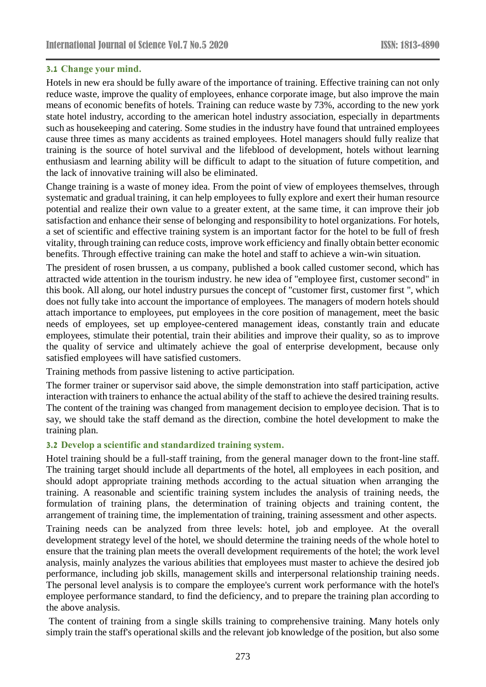#### **3.1 Change your mind.**

Hotels in new era should be fully aware of the importance of training. Effective training can not only reduce waste, improve the quality of employees, enhance corporate image, but also improve the main means of economic benefits of hotels. Training can reduce waste by 73%, according to the new york state hotel industry, according to the american hotel industry association, especially in departments such as housekeeping and catering. Some studies in the industry have found that untrained employees cause three times as many accidents as trained employees. Hotel managers should fully realize that training is the source of hotel survival and the lifeblood of development, hotels without learning enthusiasm and learning ability will be difficult to adapt to the situation of future competition, and the lack of innovative training will also be eliminated.

Change training is a waste of money idea. From the point of view of employees themselves, through systematic and gradual training, it can help employees to fully explore and exert their human resource potential and realize their own value to a greater extent, at the same time, it can improve their job satisfaction and enhance their sense of belonging and responsibility to hotel organizations. For hotels, a set of scientific and effective training system is an important factor for the hotel to be full of fresh vitality, through training can reduce costs, improve work efficiency and finally obtain better economic benefits. Through effective training can make the hotel and staff to achieve a win-win situation.

The president of rosen brussen, a us company, published a book called customer second, which has attracted wide attention in the tourism industry. he new idea of "employee first, customer second" in this book. All along, our hotel industry pursues the concept of "customer first, customer first ", which does not fully take into account the importance of employees. The managers of modern hotels should attach importance to employees, put employees in the core position of management, meet the basic needs of employees, set up employee-centered management ideas, constantly train and educate employees, stimulate their potential, train their abilities and improve their quality, so as to improve the quality of service and ultimately achieve the goal of enterprise development, because only satisfied employees will have satisfied customers.

Training methods from passive listening to active participation.

The former trainer or supervisor said above, the simple demonstration into staff participation, active interaction with trainers to enhance the actual ability of the staff to achieve the desired training results. The content of the training was changed from management decision to employee decision. That is to say, we should take the staff demand as the direction, combine the hotel development to make the training plan.

#### **3.2 Develop a scientific and standardized training system.**

Hotel training should be a full-staff training, from the general manager down to the front-line staff. The training target should include all departments of the hotel, all employees in each position, and should adopt appropriate training methods according to the actual situation when arranging the training. A reasonable and scientific training system includes the analysis of training needs, the formulation of training plans, the determination of training objects and training content, the arrangement of training time, the implementation of training, training assessment and other aspects.

Training needs can be analyzed from three levels: hotel, job and employee. At the overall development strategy level of the hotel, we should determine the training needs of the whole hotel to ensure that the training plan meets the overall development requirements of the hotel; the work level analysis, mainly analyzes the various abilities that employees must master to achieve the desired job performance, including job skills, management skills and interpersonal relationship training needs. The personal level analysis is to compare the employee's current work performance with the hotel's employee performance standard, to find the deficiency, and to prepare the training plan according to the above analysis.

The content of training from a single skills training to comprehensive training. Many hotels only simply train the staff's operational skills and the relevant job knowledge of the position, but also some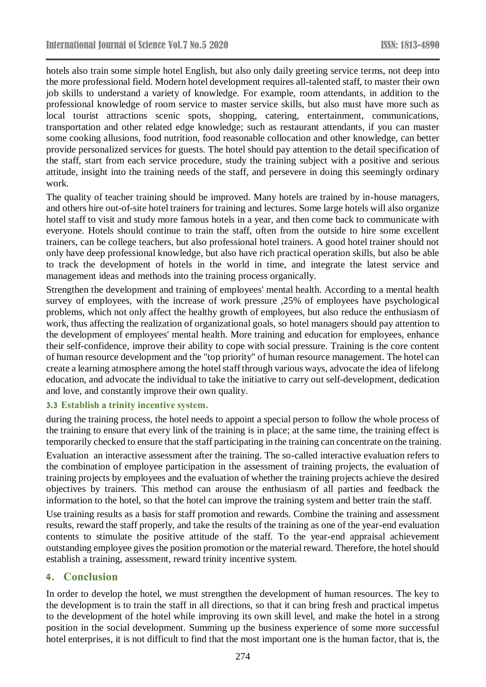hotels also train some simple hotel English, but also only daily greeting service terms, not deep into the more professional field. Modern hotel development requires all-talented staff, to master their own job skills to understand a variety of knowledge. For example, room attendants, in addition to the professional knowledge of room service to master service skills, but also must have more such as local tourist attractions scenic spots, shopping, catering, entertainment, communications, transportation and other related edge knowledge; such as restaurant attendants, if you can master some cooking allusions, food nutrition, food reasonable collocation and other knowledge, can better provide personalized services for guests. The hotel should pay attention to the detail specification of the staff, start from each service procedure, study the training subject with a positive and serious attitude, insight into the training needs of the staff, and persevere in doing this seemingly ordinary work.

The quality of teacher training should be improved. Many hotels are trained by in-house managers, and others hire out-of-site hotel trainers for training and lectures. Some large hotels will also organize hotel staff to visit and study more famous hotels in a year, and then come back to communicate with everyone. Hotels should continue to train the staff, often from the outside to hire some excellent trainers, can be college teachers, but also professional hotel trainers. A good hotel trainer should not only have deep professional knowledge, but also have rich practical operation skills, but also be able to track the development of hotels in the world in time, and integrate the latest service and management ideas and methods into the training process organically.

Strengthen the development and training of employees' mental health. According to a mental health survey of employees, with the increase of work pressure ,25% of employees have psychological problems, which not only affect the healthy growth of employees, but also reduce the enthusiasm of work, thus affecting the realization of organizational goals, so hotel managers should pay attention to the development of employees' mental health. More training and education for employees, enhance their self-confidence, improve their ability to cope with social pressure. Training is the core content of human resource development and the "top priority" of human resource management. The hotel can create a learning atmosphere among the hotel staff through various ways, advocate the idea of lifelong education, and advocate the individual to take the initiative to carry out self-development, dedication and love, and constantly improve their own quality.

#### **3.3 Establish a trinity incentive system.**

during the training process, the hotel needs to appoint a special person to follow the whole process of the training to ensure that every link of the training is in place; at the same time, the training effect is temporarily checked to ensure that the staff participating in the training can concentrate on the training.

Evaluation an interactive assessment after the training. The so-called interactive evaluation refers to the combination of employee participation in the assessment of training projects, the evaluation of training projects by employees and the evaluation of whether the training projects achieve the desired objectives by trainers. This method can arouse the enthusiasm of all parties and feedback the information to the hotel, so that the hotel can improve the training system and better train the staff.

Use training results as a basis for staff promotion and rewards. Combine the training and assessment results, reward the staff properly, and take the results of the training as one of the year-end evaluation contents to stimulate the positive attitude of the staff. To the year-end appraisal achievement outstanding employee gives the position promotion or the material reward. Therefore, the hotel should establish a training, assessment, reward trinity incentive system.

#### **4. Conclusion**

In order to develop the hotel, we must strengthen the development of human resources. The key to the development is to train the staff in all directions, so that it can bring fresh and practical impetus to the development of the hotel while improving its own skill level, and make the hotel in a strong position in the social development. Summing up the business experience of some more successful hotel enterprises, it is not difficult to find that the most important one is the human factor, that is, the